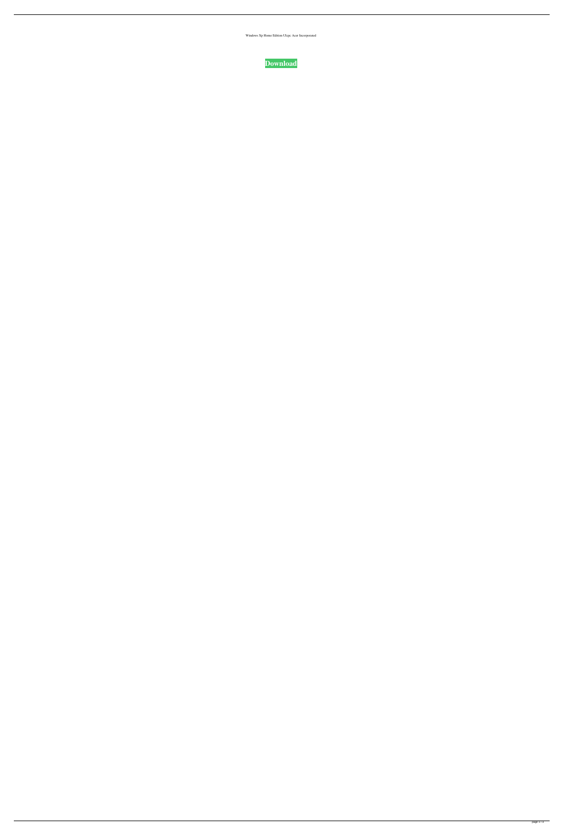Windows Xp Home Edition Ulcpc Acer Incorporated

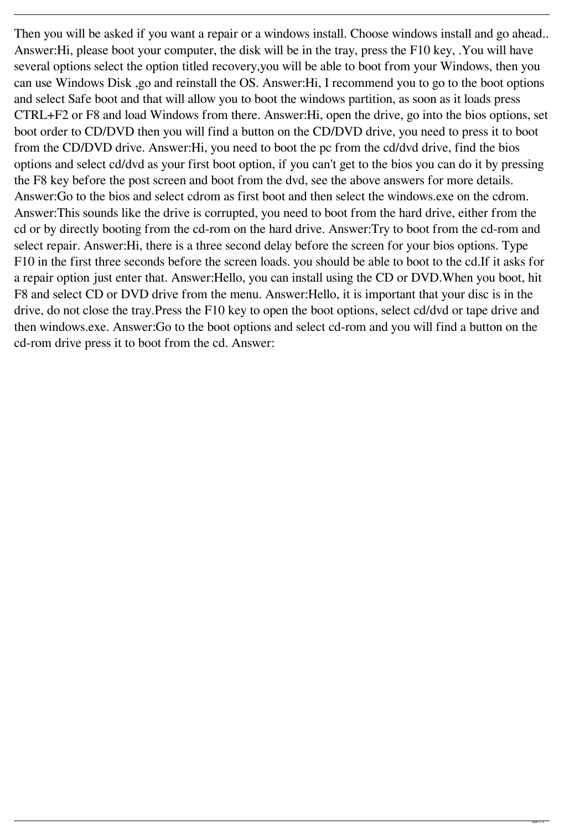Then you will be asked if you want a repair or a windows install. Choose windows install and go ahead.. Answer:Hi, please boot your computer, the disk will be in the tray, press the F10 key, .You will have several options select the option titled recovery,you will be able to boot from your Windows, then you can use Windows Disk ,go and reinstall the OS. Answer:Hi, I recommend you to go to the boot options and select Safe boot and that will allow you to boot the windows partition, as soon as it loads press CTRL+F2 or F8 and load Windows from there. Answer:Hi, open the drive, go into the bios options, set boot order to CD/DVD then you will find a button on the CD/DVD drive, you need to press it to boot from the CD/DVD drive. Answer:Hi, you need to boot the pc from the cd/dvd drive, find the bios options and select cd/dvd as your first boot option, if you can't get to the bios you can do it by pressing the F8 key before the post screen and boot from the dvd, see the above answers for more details. Answer:Go to the bios and select cdrom as first boot and then select the windows.exe on the cdrom. Answer:This sounds like the drive is corrupted, you need to boot from the hard drive, either from the cd or by directly booting from the cd-rom on the hard drive. Answer:Try to boot from the cd-rom and select repair. Answer:Hi, there is a three second delay before the screen for your bios options. Type F10 in the first three seconds before the screen loads. you should be able to boot to the cd.If it asks for a repair option just enter that. Answer:Hello, you can install using the CD or DVD.When you boot, hit F8 and select CD or DVD drive from the menu. Answer:Hello, it is important that your disc is in the

drive, do not close the tray.Press the F10 key to open the boot options, select cd/dvd or tape drive and then windows.exe. Answer:Go to the boot options and select cd-rom and you will find a button on the cd-rom drive press it to boot from the cd. Answer: